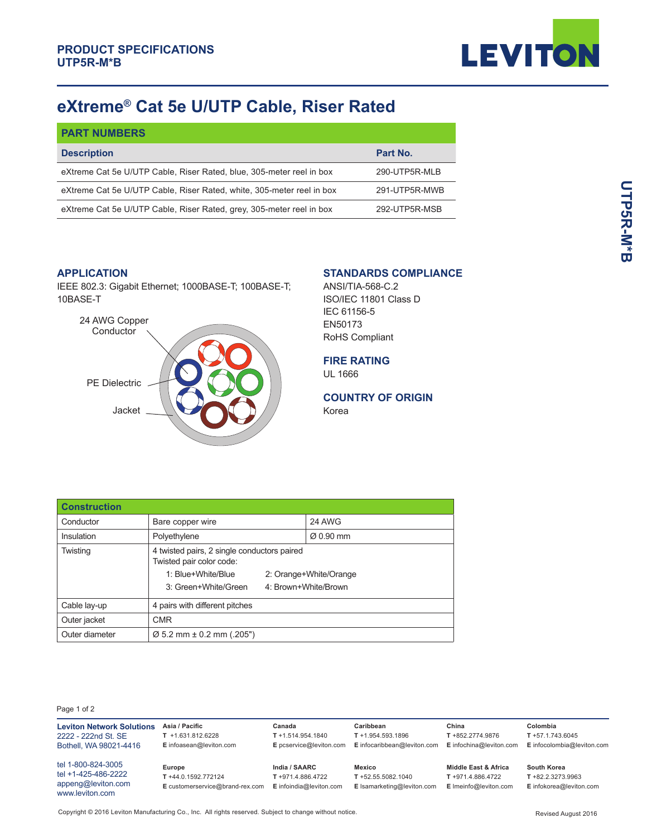

# **eXtreme® Cat 5e U/UTP Cable, Riser Rated**

| <b>PART NUMBERS</b>                                                   |               |
|-----------------------------------------------------------------------|---------------|
| <b>Description</b>                                                    | Part No.      |
| eXtreme Cat 5e U/UTP Cable, Riser Rated, blue, 305-meter reel in box  | 290-UTP5R-MLB |
| eXtreme Cat 5e U/UTP Cable, Riser Rated, white, 305-meter reel in box | 291-UTP5R-MWB |
| eXtreme Cat 5e U/UTP Cable, Riser Rated, grey, 305-meter reel in box  | 292-UTP5R-MSB |

#### **APPLICATION**

IEEE 802.3: Gigabit Ethernet; 1000BASE-T; 100BASE-T; 10BASE-T



### **STANDARDS COMPLIANCE**

ANSI/TIA-568-C.2 ISO/IEC 11801 Class D IEC 61156-5 EN50173 RoHS Compliant

### **FIRE RATING**

UL 1666

## **COUNTRY OF ORIGIN**

Korea

| <b>Construction</b> |                                                                         |  |                        |  |
|---------------------|-------------------------------------------------------------------------|--|------------------------|--|
| Conductor           | Bare copper wire                                                        |  | 24 AWG                 |  |
| Insulation          | Polyethylene                                                            |  | $\varnothing$ 0.90 mm  |  |
| Twisting            | 4 twisted pairs, 2 single conductors paired<br>Twisted pair color code: |  |                        |  |
|                     | 1: Blue+White/Blue                                                      |  | 2: Orange+White/Orange |  |
|                     | 3: Green+White/Green                                                    |  | 4: Brown+White/Brown   |  |
| Cable lay-up        | 4 pairs with different pitches                                          |  |                        |  |
| Outer jacket        | <b>CMR</b>                                                              |  |                        |  |
| Outer diameter      | $\varnothing$ 5.2 mm ± 0.2 mm (.205")                                   |  |                        |  |

Page 1 of 2

| <b>Leviton Network Solutions</b>      | Asia / Pacific<br>$T + 1.631.812.6228$ | Canada<br>$T + 1.514.954.1840$ | Caribbean<br>$T + 1.954.593.1896$ | China<br>T +852.2774.9876 | Colombia<br>$T + 57.1.743.6045$ |
|---------------------------------------|----------------------------------------|--------------------------------|-----------------------------------|---------------------------|---------------------------------|
| 2222 - 222nd St. SE                   |                                        |                                |                                   |                           |                                 |
| Bothell, WA 98021-4416                | E infoasean@leviton.com                | E pcservice@leviton.com        | E infocaribbean@leviton.com       | E infochina@leviton.com   | E infocolombia@leviton.com      |
| tel 1-800-824-3005                    | Europe                                 | India / SAARC                  | <b>Mexico</b>                     | Middle East & Africa      | South Korea                     |
| tel +1-425-486-2222                   |                                        |                                |                                   |                           |                                 |
|                                       | T +44.0.1592.772124                    | T +971.4.886.4722              | $T + 52.55.5082.1040$             | T +971.4.886.4722         | $T + 82.2.3273.9963$            |
| appeng@leviton.com<br>www leviton com | E customerservice@brand-rex.com        | E infoindia@leviton.com        | E Isamarketing@leviton.com        | E Imeinfo@leviton.com     | E infokorea@leviton.com         |

Copyright © 2016 Leviton Manufacturing Co., Inc. All rights reserved. Subject to change without notice.